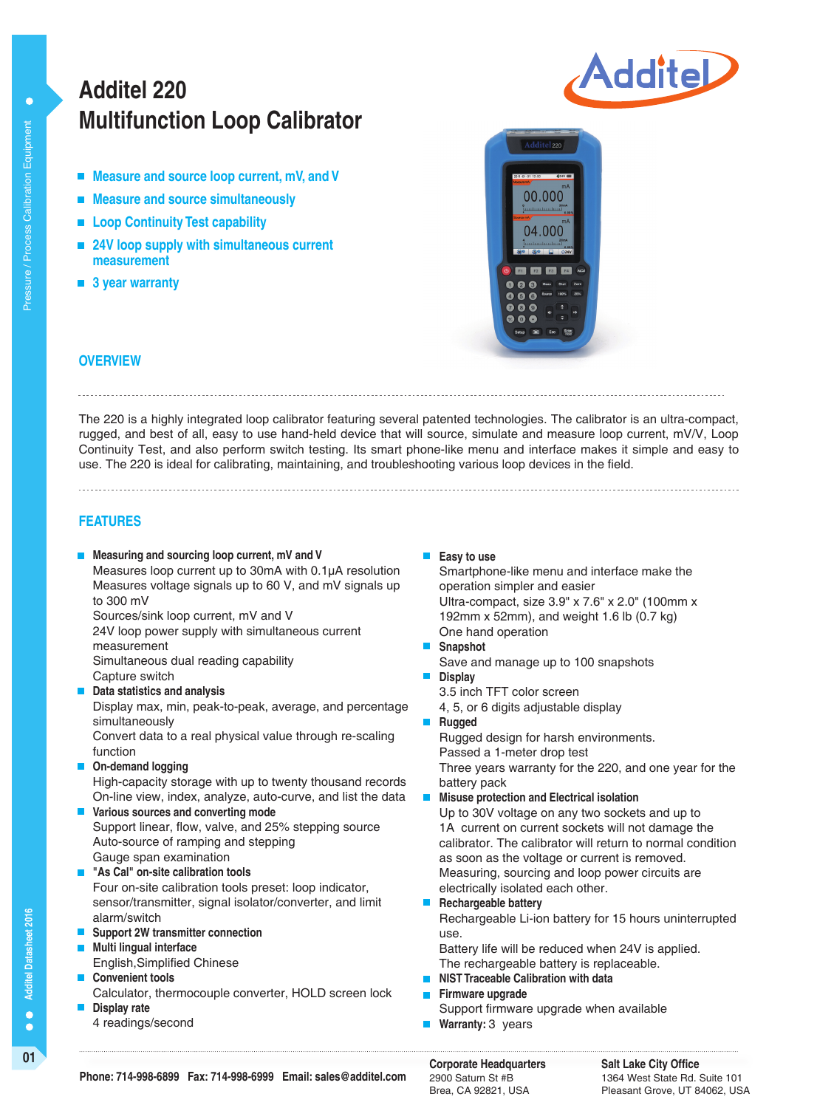# **Multifunction Loop Calibrator Additel 220**

- **Measure and source loop current, mV, and V**
- **Measure and source simultaneously**
- Loop Continuity Test capability
- **24V loop supply with simultaneous current measurement**
- 3 year warranty





### **OVERVIEW**

The 220 is a highly integrated loop calibrator featuring several patented technologies. The calibrator is an ultra-compact, rugged, and best of all, easy to use hand-held device that will source, simulate and measure loop current, mV/V, Loop Continuity Test, and also perform switch testing. Its smart phone-like menu and interface makes it simple and easy to use. The 220 is ideal for calibrating, maintaining, and troubleshooting various loop devices in the field.

### **FEATURES**

**Measuring and sourcing loop current, mV and V**

Measures loop current up to 30mA with 0.1µA resolution Measures voltage signals up to 60 V, and mV signals up to 300 mV

Sources/sink loop current, mV and V

24V loop power supply with simultaneous current measurement

Simultaneous dual reading capability Capture switch

**Data statistics and analysis**

Display max, min, peak-to-peak, average, and percentage simultaneously

Convert data to a real physical value through re-scaling function

**On-demand logging**

High-capacity storage with up to twenty thousand records On-line view, index, analyze, auto-curve, and list the data

- **Various sources and converting mode** Support linear, flow, valve, and 25% stepping source Auto-source of ramping and stepping Gauge span examination
- **"As Cal" on-site calibration tools**

Four on-site calibration tools preset: loop indicator, sensor/transmitter, signal isolator/converter, and limit alarm/switch

- **Support 2W transmitter connection**
- **Multi lingual interface**  English,Simplified Chinese
- **Convenient tools**
- Calculator, thermocouple converter, HOLD screen lock
- **Display rate** 4 readings/second

**Easy to use** 

Smartphone-like menu and interface make the operation simpler and easier Ultra-compact, size 3.9" x 7.6" x 2.0" (100mm x 192mm x 52mm), and weight 1.6 lb (0.7 kg) One hand operation

- **Snapshot**
- Save and manage up to 100 snapshots
- **Display**
- $\blacksquare$ **Rugged**

Rugged design for harsh environments.

Passed a 1-meter drop test

Three years warranty for the 220, and one year for the battery pack

### **Misuse protection and Electrical isolation**

Up to 30V voltage on any two sockets and up to 1A current on current sockets will not damage the calibrator. The calibrator will return to normal condition as soon as the voltage or current is removed. Measuring, sourcing and loop power circuits are electrically isolated each other.

**Rechargeable battery**

Rechargeable Li-ion battery for 15 hours uninterrupted use.

Battery life will be reduced when 24V is applied. The rechargeable battery is replaceable.

- **NIST Traceable Calibration with data**
- **Firmware upgrade**
	- Support firmware upgrade when available
- **Warranty: 3 years**

2900 Saturn St #B Brea, CA 92821, USA

**Salt Lake City Office** 1364 West State Rd. Suite 101 Pleasant Grove, UT 84062, USA

3.5 inch TFT color screen 4, 5, or 6 digits adjustable display